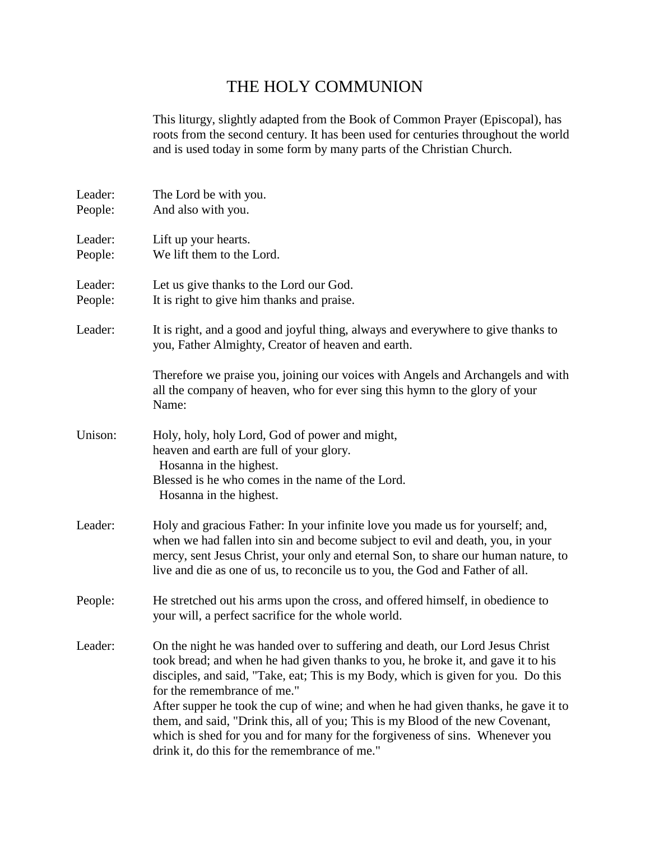## THE HOLY COMMUNION

This liturgy, slightly adapted from the Book of Common Prayer (Episcopal), has roots from the second century. It has been used for centuries throughout the world and is used today in some form by many parts of the Christian Church.

| Leader:<br>People: | The Lord be with you.<br>And also with you.                                                                                                                                                                                                                                                                                                                                                                                                                                                                                                                                                   |  |
|--------------------|-----------------------------------------------------------------------------------------------------------------------------------------------------------------------------------------------------------------------------------------------------------------------------------------------------------------------------------------------------------------------------------------------------------------------------------------------------------------------------------------------------------------------------------------------------------------------------------------------|--|
| Leader:<br>People: | Lift up your hearts.<br>We lift them to the Lord.                                                                                                                                                                                                                                                                                                                                                                                                                                                                                                                                             |  |
| Leader:<br>People: | Let us give thanks to the Lord our God.<br>It is right to give him thanks and praise.                                                                                                                                                                                                                                                                                                                                                                                                                                                                                                         |  |
| Leader:            | It is right, and a good and joyful thing, always and everywhere to give thanks to<br>you, Father Almighty, Creator of heaven and earth.                                                                                                                                                                                                                                                                                                                                                                                                                                                       |  |
|                    | Therefore we praise you, joining our voices with Angels and Archangels and with<br>all the company of heaven, who for ever sing this hymn to the glory of your<br>Name:                                                                                                                                                                                                                                                                                                                                                                                                                       |  |
| Unison:            | Holy, holy, holy Lord, God of power and might,<br>heaven and earth are full of your glory.<br>Hosanna in the highest.<br>Blessed is he who comes in the name of the Lord.<br>Hosanna in the highest.                                                                                                                                                                                                                                                                                                                                                                                          |  |
| Leader:            | Holy and gracious Father: In your infinite love you made us for yourself; and,<br>when we had fallen into sin and become subject to evil and death, you, in your<br>mercy, sent Jesus Christ, your only and eternal Son, to share our human nature, to<br>live and die as one of us, to reconcile us to you, the God and Father of all.                                                                                                                                                                                                                                                       |  |
| People:            | He stretched out his arms upon the cross, and offered himself, in obedience to<br>your will, a perfect sacrifice for the whole world.                                                                                                                                                                                                                                                                                                                                                                                                                                                         |  |
| Leader:            | On the night he was handed over to suffering and death, our Lord Jesus Christ<br>took bread; and when he had given thanks to you, he broke it, and gave it to his<br>disciples, and said, "Take, eat; This is my Body, which is given for you. Do this<br>for the remembrance of me."<br>After supper he took the cup of wine; and when he had given thanks, he gave it to<br>them, and said, "Drink this, all of you; This is my Blood of the new Covenant,<br>which is shed for you and for many for the forgiveness of sins. Whenever you<br>drink it, do this for the remembrance of me." |  |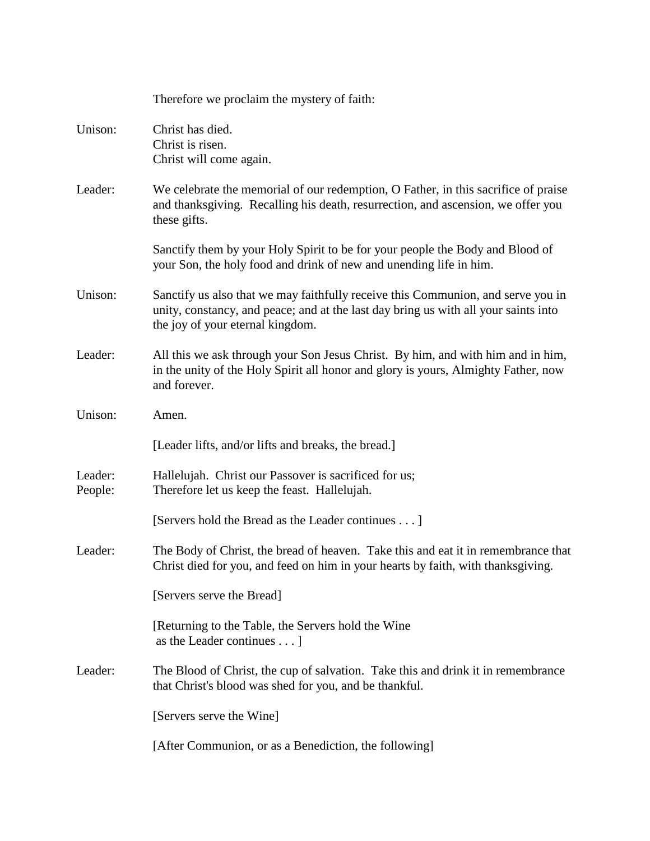|                    | Therefore we proclaim the mystery of faith:                                                                                                                                                                 |
|--------------------|-------------------------------------------------------------------------------------------------------------------------------------------------------------------------------------------------------------|
| Unison:            | Christ has died.<br>Christ is risen.<br>Christ will come again.                                                                                                                                             |
| Leader:            | We celebrate the memorial of our redemption, O Father, in this sacrifice of praise<br>and thanksgiving. Recalling his death, resurrection, and ascension, we offer you<br>these gifts.                      |
|                    | Sanctify them by your Holy Spirit to be for your people the Body and Blood of<br>your Son, the holy food and drink of new and unending life in him.                                                         |
| Unison:            | Sanctify us also that we may faithfully receive this Communion, and serve you in<br>unity, constancy, and peace; and at the last day bring us with all your saints into<br>the joy of your eternal kingdom. |
| Leader:            | All this we ask through your Son Jesus Christ. By him, and with him and in him,<br>in the unity of the Holy Spirit all honor and glory is yours, Almighty Father, now<br>and forever.                       |
| Unison:            | Amen.                                                                                                                                                                                                       |
|                    | [Leader lifts, and/or lifts and breaks, the bread.]                                                                                                                                                         |
| Leader:<br>People: | Hallelujah. Christ our Passover is sacrificed for us;<br>Therefore let us keep the feast. Hallelujah.                                                                                                       |
|                    | [Servers hold the Bread as the Leader continues ]                                                                                                                                                           |
| Leader:            | The Body of Christ, the bread of heaven. Take this and eat it in remembrance that<br>Christ died for you, and feed on him in your hearts by faith, with thanksgiving.                                       |
|                    | [Servers serve the Bread]                                                                                                                                                                                   |
|                    | [Returning to the Table, the Servers hold the Wine<br>as the Leader continues $\dots$ ]                                                                                                                     |
| Leader:            | The Blood of Christ, the cup of salvation. Take this and drink it in remembrance<br>that Christ's blood was shed for you, and be thankful.                                                                  |
|                    | [Servers serve the Wine]                                                                                                                                                                                    |
|                    | [After Communion, or as a Benediction, the following]                                                                                                                                                       |